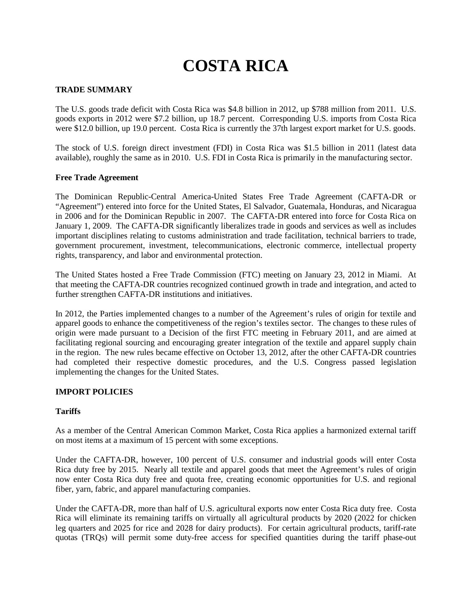# **COSTA RICA**

## **TRADE SUMMARY**

The U.S. goods trade deficit with Costa Rica was \$4.8 billion in 2012, up \$788 million from 2011. U.S. goods exports in 2012 were \$7.2 billion, up 18.7 percent. Corresponding U.S. imports from Costa Rica were \$12.0 billion, up 19.0 percent. Costa Rica is currently the 37th largest export market for U.S. goods.

The stock of U.S. foreign direct investment (FDI) in Costa Rica was \$1.5 billion in 2011 (latest data available), roughly the same as in 2010. U.S. FDI in Costa Rica is primarily in the manufacturing sector.

#### **Free Trade Agreement**

The Dominican Republic-Central America-United States Free Trade Agreement (CAFTA-DR or "Agreement") entered into force for the United States, El Salvador, Guatemala, Honduras, and Nicaragua in 2006 and for the Dominican Republic in 2007. The CAFTA-DR entered into force for Costa Rica on January 1, 2009. The CAFTA-DR significantly liberalizes trade in goods and services as well as includes important disciplines relating to customs administration and trade facilitation, technical barriers to trade, government procurement, investment, telecommunications, electronic commerce, intellectual property rights, transparency, and labor and environmental protection.

The United States hosted a Free Trade Commission (FTC) meeting on January 23, 2012 in Miami. At that meeting the CAFTA-DR countries recognized continued growth in trade and integration, and acted to further strengthen CAFTA-DR institutions and initiatives.

In 2012, the Parties implemented changes to a number of the Agreement's rules of origin for textile and apparel goods to enhance the competitiveness of the region's textiles sector. The changes to these rules of origin were made pursuant to a Decision of the first FTC meeting in February 2011, and are aimed at facilitating regional sourcing and encouraging greater integration of the textile and apparel supply chain in the region. The new rules became effective on October 13, 2012, after the other CAFTA-DR countries had completed their respective domestic procedures, and the U.S. Congress passed legislation implementing the changes for the United States.

## **IMPORT POLICIES**

## **Tariffs**

As a member of the Central American Common Market, Costa Rica applies a harmonized external tariff on most items at a maximum of 15 percent with some exceptions.

Under the CAFTA-DR, however, 100 percent of U.S. consumer and industrial goods will enter Costa Rica duty free by 2015. Nearly all textile and apparel goods that meet the Agreement's rules of origin now enter Costa Rica duty free and quota free, creating economic opportunities for U.S. and regional fiber, yarn, fabric, and apparel manufacturing companies.

Under the CAFTA-DR, more than half of U.S. agricultural exports now enter Costa Rica duty free. Costa Rica will eliminate its remaining tariffs on virtually all agricultural products by 2020 (2022 for chicken leg quarters and 2025 for rice and 2028 for dairy products). For certain agricultural products, tariff-rate quotas (TRQs) will permit some duty-free access for specified quantities during the tariff phase-out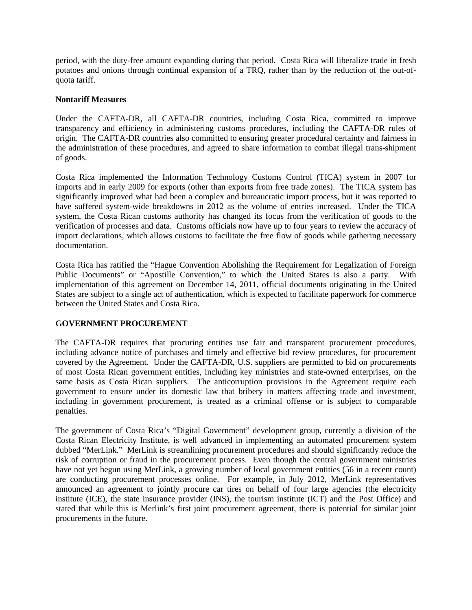period, with the duty-free amount expanding during that period. Costa Rica will liberalize trade in fresh potatoes and onions through continual expansion of a TRQ, rather than by the reduction of the out-ofquota tariff.

# **Nontariff Measures**

Under the CAFTA-DR, all CAFTA-DR countries, including Costa Rica, committed to improve transparency and efficiency in administering customs procedures, including the CAFTA-DR rules of origin. The CAFTA-DR countries also committed to ensuring greater procedural certainty and fairness in the administration of these procedures, and agreed to share information to combat illegal trans-shipment of goods.

Costa Rica implemented the Information Technology Customs Control (TICA) system in 2007 for imports and in early 2009 for exports (other than exports from free trade zones). The TICA system has significantly improved what had been a complex and bureaucratic import process, but it was reported to have suffered system-wide breakdowns in 2012 as the volume of entries increased. Under the TICA system, the Costa Rican customs authority has changed its focus from the verification of goods to the verification of processes and data. Customs officials now have up to four years to review the accuracy of import declarations, which allows customs to facilitate the free flow of goods while gathering necessary documentation.

Costa Rica has ratified the "Hague Convention Abolishing the Requirement for Legalization of Foreign Public Documents" or "Apostille Convention," to which the United States is also a party. With implementation of this agreement on December 14, 2011, official documents originating in the United States are subject to a single act of authentication, which is expected to facilitate paperwork for commerce between the United States and Costa Rica.

# **GOVERNMENT PROCUREMENT**

The CAFTA-DR requires that procuring entities use fair and transparent procurement procedures, including advance notice of purchases and timely and effective bid review procedures, for procurement covered by the Agreement. Under the CAFTA-DR, U.S. suppliers are permitted to bid on procurements of most Costa Rican government entities, including key ministries and state-owned enterprises, on the same basis as Costa Rican suppliers. The anticorruption provisions in the Agreement require each government to ensure under its domestic law that bribery in matters affecting trade and investment, including in government procurement, is treated as a criminal offense or is subject to comparable penalties.

The government of Costa Rica's "Digital Government" development group, currently a division of the Costa Rican Electricity Institute, is well advanced in implementing an automated procurement system dubbed "MerLink." MerLink is streamlining procurement procedures and should significantly reduce the risk of corruption or fraud in the procurement process. Even though the central government ministries have not yet begun using MerLink, a growing number of local government entities (56 in a recent count) are conducting procurement processes online. For example, in July 2012, MerLink representatives announced an agreement to jointly procure car tires on behalf of four large agencies (the electricity institute (ICE), the state insurance provider (INS), the tourism institute (ICT) and the Post Office) and stated that while this is Merlink's first joint procurement agreement, there is potential for similar joint procurements in the future.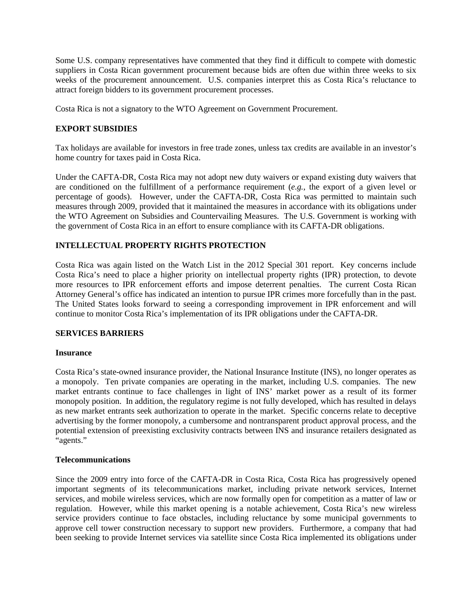Some U.S. company representatives have commented that they find it difficult to compete with domestic suppliers in Costa Rican government procurement because bids are often due within three weeks to six weeks of the procurement announcement. U.S. companies interpret this as Costa Rica's reluctance to attract foreign bidders to its government procurement processes.

Costa Rica is not a signatory to the WTO Agreement on Government Procurement.

# **EXPORT SUBSIDIES**

Tax holidays are available for investors in free trade zones, unless tax credits are available in an investor's home country for taxes paid in Costa Rica.

Under the CAFTA-DR, Costa Rica may not adopt new duty waivers or expand existing duty waivers that are conditioned on the fulfillment of a performance requirement (*e.g.*, the export of a given level or percentage of goods). However, under the CAFTA-DR, Costa Rica was permitted to maintain such measures through 2009, provided that it maintained the measures in accordance with its obligations under the WTO Agreement on Subsidies and Countervailing Measures. The U.S. Government is working with the government of Costa Rica in an effort to ensure compliance with its CAFTA-DR obligations.

# **INTELLECTUAL PROPERTY RIGHTS PROTECTION**

Costa Rica was again listed on the Watch List in the 2012 Special 301 report. Key concerns include Costa Rica's need to place a higher priority on intellectual property rights (IPR) protection, to devote more resources to IPR enforcement efforts and impose deterrent penalties. The current Costa Rican Attorney General's office has indicated an intention to pursue IPR crimes more forcefully than in the past. The United States looks forward to seeing a corresponding improvement in IPR enforcement and will continue to monitor Costa Rica's implementation of its IPR obligations under the CAFTA-DR.

## **SERVICES BARRIERS**

#### **Insurance**

Costa Rica's state-owned insurance provider, the National Insurance Institute (INS), no longer operates as a monopoly. Ten private companies are operating in the market, including U.S. companies. The new market entrants continue to face challenges in light of INS' market power as a result of its former monopoly position. In addition, the regulatory regime is not fully developed, which has resulted in delays as new market entrants seek authorization to operate in the market. Specific concerns relate to deceptive advertising by the former monopoly, a cumbersome and nontransparent product approval process, and the potential extension of preexisting exclusivity contracts between INS and insurance retailers designated as "agents."

#### **Telecommunications**

Since the 2009 entry into force of the CAFTA-DR in Costa Rica, Costa Rica has progressively opened important segments of its telecommunications market, including private network services, Internet services, and mobile wireless services, which are now formally open for competition as a matter of law or regulation. However, while this market opening is a notable achievement, Costa Rica's new wireless service providers continue to face obstacles, including reluctance by some municipal governments to approve cell tower construction necessary to support new providers. Furthermore, a company that had been seeking to provide Internet services via satellite since Costa Rica implemented its obligations under